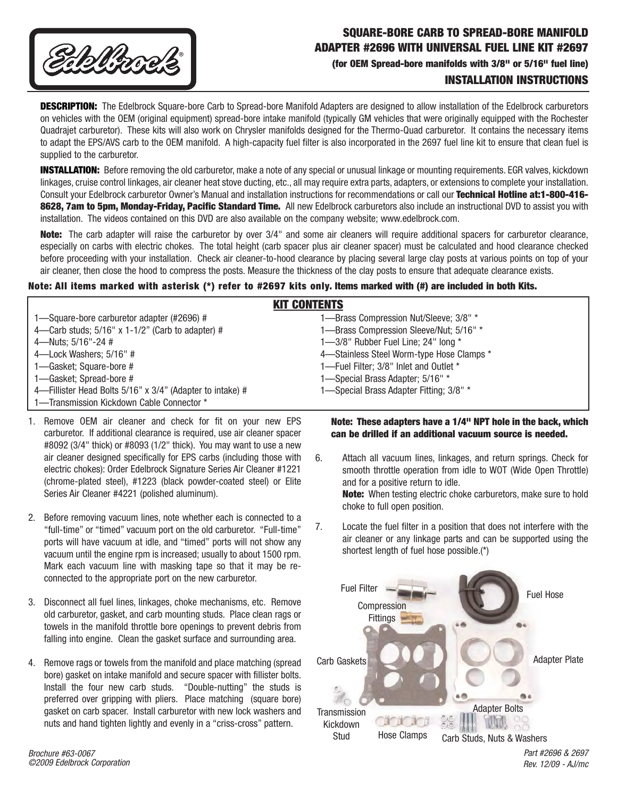

## **SQUARE-BORE CARB TO SPREAD-BORE MANIFOLD ADAPTER #2696 WITH UNIVERSAL FUEL LINE KIT #2697 (for OEM Spread-bore manifolds with 3/8" or 5/16" fuel line)**

**INSTALLATION INSTRUCTIONS** 

**DESCRIPTION:** The Edelbrock Square-bore Carb to Spread-bore Manifold Adapters are designed to allow installation of the Edelbrock carburetors on vehicles with the OEM (original equipment) spread-bore intake manifold (typically GM vehicles that were originally equipped with the Rochester Quadrajet carburetor). These kits will also work on Chrysler manifolds designed for the Thermo-Quad carburetor. It contains the necessary items to adapt the EPS/AVS carb to the OEM manifold. A high-capacity fuel filter is also incorporated in the 2697 fuel line kit to ensure that clean fuel is supplied to the carburetor.

**INSTALLATION:** Before removing the old carburetor, make a note of any special or unusual linkage or mounting requirements. EGR valves, kickdown linkages, cruise control linkages, air cleaner heat stove ducting, etc., all may require extra parts, adapters, or extensions to complete your installation. Consult your Edelbrock carburetor Owner's Manual and installation instructions for recommendations or call our **Technical Hotline at:1-800-416- 8628, 7am to 5pm, Monday-Friday, Pacific Standard Time.** All new Edelbrock carburetors also include an instructional DVD to assist you with installation. The videos contained on this DVD are also available on the company website; www.edelbrock.com.

**Note:** The carb adapter will raise the carburetor by over 3/4" and some air cleaners will require additional spacers for carburetor clearance, especially on carbs with electric chokes. The total height (carb spacer plus air cleaner spacer) must be calculated and hood clearance checked before proceeding with your installation. Check air cleaner-to-hood clearance by placing several large clay posts at various points on top of your air cleaner, then close the hood to compress the posts. Measure the thickness of the clay posts to ensure that adequate clearance exists.

## **Note: All items marked with asterisk (\*) refer to #2697 kits only. Items marked with (#) are included in both Kits.**

| <b>KIT CONTENTS</b>                                       |                                           |
|-----------------------------------------------------------|-------------------------------------------|
| 1-Square-bore carburetor adapter (#2696) #                | 1-Brass Compression Nut/Sleeve; 3/8" *    |
| 4—Carb studs; $5/16"$ x 1-1/2" (Carb to adapter) #        | 1-Brass Compression Sleeve/Nut; 5/16" *   |
| 4-Nuts; 5/16"-24 #                                        | 1-3/8" Rubber Fuel Line; 24" long *       |
| 4-Lock Washers; 5/16" #                                   | 4-Stainless Steel Worm-type Hose Clamps * |
| 1-Gasket; Square-bore #                                   | 1-Fuel Filter; 3/8" Inlet and Outlet *    |
| 1-Gasket; Spread-bore #                                   | 1-Special Brass Adapter; 5/16" *          |
| 4—Fillister Head Bolts 5/16" x 3/4" (Adapter to intake) # | 1-Special Brass Adapter Fitting; 3/8" *   |
| 1-Transmission Kickdown Cable Connector *                 |                                           |

- 1. Remove OEM air cleaner and check for fit on your new EPS carburetor. If additional clearance is required, use air cleaner spacer #8092 (3/4" thick) or #8093 (1/2" thick). You may want to use a new air cleaner designed specifically for EPS carbs (including those with electric chokes): Order Edelbrock Signature Series Air Cleaner #1221 (chrome-plated steel), #1223 (black powder-coated steel) or Elite Series Air Cleaner #4221 (polished aluminum).
- 2. Before removing vacuum lines, note whether each is connected to a "full-time" or "timed" vacuum port on the old carburetor. "Full-time" ports will have vacuum at idle, and "timed" ports will not show any vacuum until the engine rpm is increased; usually to about 1500 rpm. Mark each vacuum line with masking tape so that it may be reconnected to the appropriate port on the new carburetor.
- 3. Disconnect all fuel lines, linkages, choke mechanisms, etc. Remove old carburetor, gasket, and carb mounting studs. Place clean rags or towels in the manifold throttle bore openings to prevent debris from falling into engine. Clean the gasket surface and surrounding area.
- 4. Remove rags or towels from the manifold and place matching (spread bore) gasket on intake manifold and secure spacer with fillister bolts. Install the four new carb studs. "Double-nutting" the studs is preferred over gripping with pliers. Place matching (square bore) gasket on carb spacer. Install carburetor with new lock washers and nuts and hand tighten lightly and evenly in a "criss-cross" pattern.

**Note: These adapters have a 1/4" NPT hole in the back, which can be drilled if an additional vacuum source is needed.**

- 6. Attach all vacuum lines, linkages, and return springs. Check for smooth throttle operation from idle to WOT (Wide Open Throttle) and for a positive return to idle. **Note:** When testing electric choke carburetors, make sure to hold choke to full open position.
- 7. Locate the fuel filter in a position that does not interfere with the air cleaner or any linkage parts and can be supported using the shortest length of fuel hose possible.(\*)



Part #2696 & 2697 Rev. 12/09 - AJ/mc